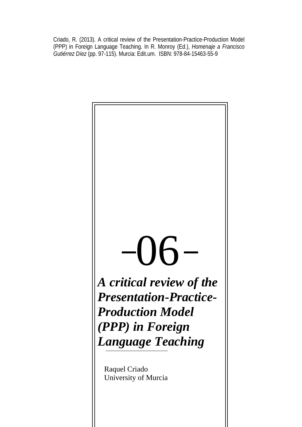Criado, R. (2013). A critical review of the Presentation-Practice-Production Model (PPP) in Foreign Language Teaching. In R. Monroy (Ed.), *Homenaje a Francisco Gutiérrez Díez* (pp. 97-115). Murcia: Edit.um. ISBN: 978-84-15463-55-9

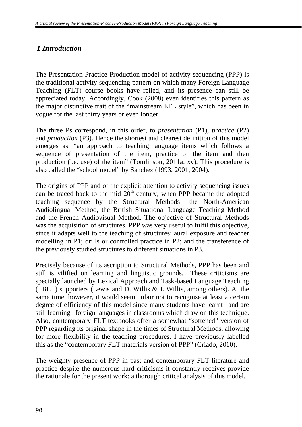# *1 Introduction*

The Presentation-Practice-Production model of activity sequencing (PPP) is the traditional activity sequencing pattern on which many Foreign Language Teaching (FLT) course books have relied, and its presence can still be appreciated today. Accordingly, Cook (2008) even identifies this pattern as the major distinctive trait of the "mainstream EFL style", which has been in vogue for the last thirty years or even longer.

The three Ps correspond, in this order, to *presentation* (P1), *practice* (P2) and *production* (P3). Hence the shortest and clearest definition of this model emerges as, "an approach to teaching language items which follows a sequence of presentation of the item, practice of the item and then production (i.e. use) of the item" (Tomlinson, 2011a: xv). This procedure is also called the "school model" by Sánchez (1993, 2001, 2004).

The origins of PPP and of the explicit attention to activity sequencing issues can be traced back to the mid  $20<sup>th</sup>$  century, when PPP became the adopted teaching sequence by the Structural Methods –the North-American Audiolingual Method, the British Situational Language Teaching Method and the French Audiovisual Method. The objective of Structural Methods was the acquisition of structures. PPP was very useful to fulfil this objective, since it adapts well to the teaching of structures: aural exposure and teacher modelling in P1; drills or controlled practice in P2; and the transference of the previously studied structures to different situations in P3.

Precisely because of its ascription to Structural Methods, PPP has been and still is vilified on learning and linguistic grounds. These criticisms are specially launched by Lexical Approach and Task-based Language Teaching (TBLT) supporters (Lewis and D. Willis & J. Willis, among others). At the same time, however, it would seem unfair not to recognise at least a certain degree of efficiency of this model since many students have learnt –and are still learning– foreign languages in classrooms which draw on this technique. Also, contemporary FLT textbooks offer a somewhat "softened" version of PPP regarding its original shape in the times of Structural Methods, allowing for more flexibility in the teaching procedures. I have previously labelled this as the "contemporary FLT materials version of PPP" (Criado, 2010).

The weighty presence of PPP in past and contemporary FLT literature and practice despite the numerous hard criticisms it constantly receives provide the rationale for the present work: a thorough critical analysis of this model.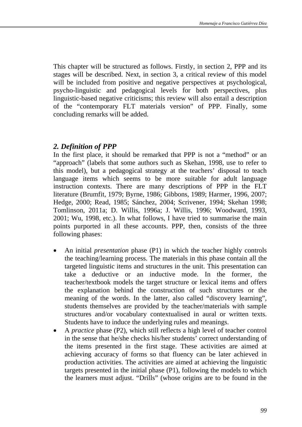This chapter will be structured as follows. Firstly, in section 2, PPP and its stages will be described. Next, in section 3, a critical review of this model will be included from positive and negative perspectives at psychological, psycho-linguistic and pedagogical levels for both perspectives, plus linguistic-based negative criticisms; this review will also entail a description of the "contemporary FLT materials version" of PPP. Finally, some concluding remarks will be added.

### *2. Definition of PPP*

In the first place, it should be remarked that PPP is not a "method" or an "approach" (labels that some authors such as Skehan, 1998, use to refer to this model), but a pedagogical strategy at the teachers' disposal to teach language items which seems to be more suitable for adult language instruction contexts. There are many descriptions of PPP in the FLT literature (Brumfit, 1979; Byrne, 1986; Gibbons, 1989; Harmer, 1996, 2007; Hedge, 2000; Read, 1985; Sánchez, 2004; Scrivener, 1994; Skehan 1998; Tomlinson, 2011a; D. Willis, 1996a; J. Willis, 1996; Woodward, 1993, 2001; Wu, 1998, etc.). In what follows, I have tried to summarise the main points purported in all these accounts. PPP, then, consists of the three following phases:

- An initial *presentation* phase (P1) in which the teacher highly controls the teaching/learning process. The materials in this phase contain all the targeted linguistic items and structures in the unit. This presentation can take a deductive or an inductive mode. In the former, the teacher/textbook models the target structure or lexical items and offers the explanation behind the construction of such structures or the meaning of the words. In the latter, also called "discovery learning", students themselves are provided by the teacher/materials with sample structures and/or vocabulary contextualised in aural or written texts. Students have to induce the underlying rules and meanings.
- A *practice* phase (P2), which still reflects a high level of teacher control in the sense that he/she checks his/her students' correct understanding of the items presented in the first stage. These activities are aimed at achieving accuracy of forms so that fluency can be later achieved in production activities. The activities are aimed at achieving the linguistic targets presented in the initial phase (P1), following the models to which the learners must adjust. "Drills" (whose origins are to be found in the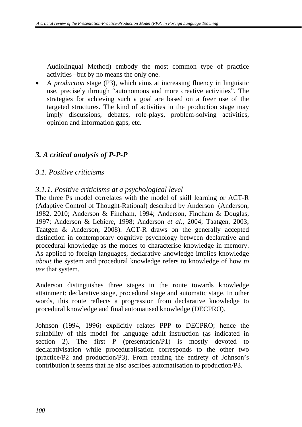Audiolingual Method) embody the most common type of practice activities –but by no means the only one.

• A *production* stage (P3), which aims at increasing fluency in linguistic use, precisely through "autonomous and more creative activities". The strategies for achieving such a goal are based on a freer use of the targeted structures. The kind of activities in the production stage may imply discussions, debates, role-plays, problem-solving activities, opinion and information gaps, etc.

# *3. A critical analysis of P-P-P*

### *3.1. Positive criticisms*

### *3.1.1. Positive criticisms at a psychological level*

The three Ps model correlates with the model of skill learning or ACT-R (Adaptive Control of Thought-Rational) described by Anderson (Anderson, 1982, 2010; Anderson & Fincham, 1994; Anderson, Fincham & Douglas, 1997; Anderson & Lebiere, 1998; Anderson *et al.,* 2004; Taatgen, 2003; Taatgen & Anderson, 2008). ACT-R draws on the generally accepted distinction in contemporary cognitive psychology between declarative and procedural knowledge as the modes to characterise knowledge in memory. As applied to foreign languages, declarative knowledge implies knowledge *about* the system and procedural knowledge refers to knowledge of how *to use* that system.

Anderson distinguishes three stages in the route towards knowledge attainment: declarative stage, procedural stage and automatic stage. In other words, this route reflects a progression from declarative knowledge to procedural knowledge and final automatised knowledge (DECPRO).

Johnson (1994, 1996) explicitly relates PPP to DECPRO; hence the suitability of this model for language adult instruction (as indicated in section 2). The first P (presentation/P1) is mostly devoted to declarativisation while proceduralisation corresponds to the other two (practice/P2 and production/P3). From reading the entirety of Johnson's contribution it seems that he also ascribes automatisation to production/P3.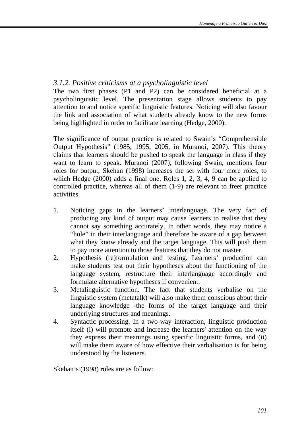### *3.1.2. Positive criticisms at a psycholinguistic level*

The two first phases (P1 and P2) can be considered beneficial at a psycholinguistic level. The presentation stage allows students to pay attention to and notice specific linguistic features. Noticing will also favour the link and association of what students already know to the new forms being highlighted in order to facilitate learning (Hedge, 2000).

The significance of output practice is related to Swain's "Comprehensible Output Hypothesis" (1985, 1995, 2005, in Muranoi, 2007). This theory claims that learners should be pushed to speak the language in class if they want to learn to speak. Muranoi (2007), following Swain, mentions four roles for output, Skehan (1998) increases the set with four more roles, to which Hedge (2000) adds a final one. Roles 1, 2, 3, 4, 9 can be applied to controlled practice, whereas all of them (1-9) are relevant to freer practice activities.

- 1. Noticing gaps in the learners' interlanguage. The very fact of producing any kind of output may cause learners to realise that they cannot say something accurately. In other words, they may notice a "hole" in their interlanguage and therefore be aware of a gap between what they know already and the target language. This will push them to pay more attention to those features that they do not master.
- 2. Hypothesis (re)formulation and testing. Learners' production can make students test out their hypotheses about the functioning of the language system, restructure their interlanguage accordingly and formulate alternative hypotheses if convenient.
- 3. Metalinguistic function. The fact that students verbalise on the linguistic system (metatalk) will also make them conscious about their language knowledge -the forms of the target language and their underlying structures and meanings.
- 4. Syntactic processing. In a two-way interaction, linguistic production itself (i) will promote and increase the learners' attention on the way they express their meanings using specific linguistic forms, and (ii) will make them aware of how effective their verbalisation is for being understood by the listeners.

Skehan's (1998) roles are as follow: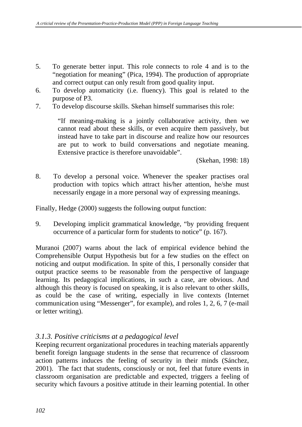- 5. To generate better input. This role connects to role 4 and is to the "negotiation for meaning" (Pica, 1994). The production of appropriate and correct output can only result from good quality input.
- 6. To develop automaticity (i.e. fluency). This goal is related to the purpose of P3.
- 7. To develop discourse skills. Skehan himself summarises this role:

"If meaning-making is a jointly collaborative activity, then we cannot read about these skills, or even acquire them passively, but instead have to take part in discourse and realize how our resources are put to work to build conversations and negotiate meaning. Extensive practice is therefore unavoidable".

(Skehan, 1998: 18)

8. To develop a personal voice. Whenever the speaker practises oral production with topics which attract his/her attention, he/she must necessarily engage in a more personal way of expressing meanings.

Finally, Hedge (2000) suggests the following output function:

9. Developing implicit grammatical knowledge, "by providing frequent occurrence of a particular form for students to notice" (p. 167).

Muranoi (2007) warns about the lack of empirical evidence behind the Comprehensible Output Hypothesis but for a few studies on the effect on noticing and output modification. In spite of this, I personally consider that output practice seems to be reasonable from the perspective of language learning. Its pedagogical implications, in such a case, are obvious. And although this theory is focused on speaking, it is also relevant to other skills, as could be the case of writing, especially in live contexts (Internet communication using "Messenger", for example), and roles 1, 2, 6, 7 (e-mail or letter writing).

## *3.1.3. Positive criticisms at a pedagogical level*

Keeping recurrent organizational procedures in teaching materials apparently benefit foreign language students in the sense that recurrence of classroom action patterns induces the feeling of security in their minds (Sánchez, 2001). The fact that students, consciously or not, feel that future events in classroom organisation are predictable and expected, triggers a feeling of security which favours a positive attitude in their learning potential. In other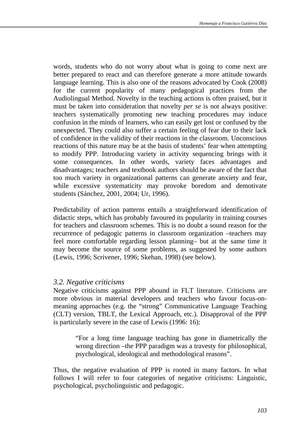words, students who do not worry about what is going to come next are better prepared to react and can therefore generate a more attitude towards language learning. This is also one of the reasons advocated by Cook (2008) for the current popularity of many pedagogical practices from the Audiolingual Method. Novelty in the teaching actions is often praised, but it must be taken into consideration that novelty *per se* is not always positive: teachers systematically promoting new teaching procedures may induce confusion in the minds of learners, who can easily get lost or confused by the unexpected. They could also suffer a certain feeling of fear due to their lack of confidence in the validity of their reactions in the classroom. Unconscious reactions of this nature may be at the basis of students' fear when attempting to modify PPP. Introducing variety in activity sequencing brings with it some consequences. In other words, variety faces advantages and disadvantages; teachers and textbook authors should be aware of the fact that too much variety in organizational patterns can generate anxiety and fear, while excessive systematicity may provoke boredom and demotivate students (Sánchez, 2001, 2004; Ur, 1996).

Predictability of action patterns entails a straightforward identification of didactic steps, which has probably favoured its popularity in training courses for teachers and classroom schemes. This is no doubt a sound reason for the recurrence of pedagogic patterns in classroom organization –teachers may feel more comfortable regarding lesson planning– but at the same time it may become the source of some problems, as suggested by some authors (Lewis, 1996; Scrivener, 1996; Skehan, 1998) (see below).

#### *3.2. Negative criticisms*

Negative criticisms against PPP abound in FLT literature. Criticisms are more obvious in material developers and teachers who favour focus-onmeaning approaches (e.g. the "strong" Communicative Language Teaching (CLT) version, TBLT, the Lexical Approach, etc.). Disapproval of the PPP is particularly severe in the case of Lewis (1996: 16):

> "For a long time language teaching has gone in diametrically the wrong direction –the PPP paradigm was a travesty for philosophical, psychological, ideological and methodological reasons".

Thus, the negative evaluation of PPP is rooted in many factors. In what follows I will refer to four categories of negative criticisms: Linguistic, psychological, psycholinguistic and pedagogic.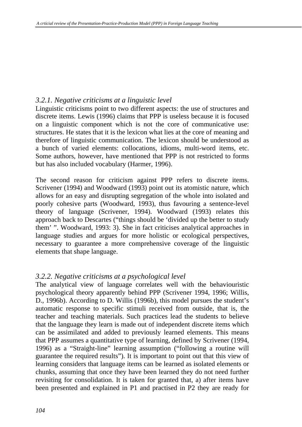# *3.2.1. Negative criticisms at a linguistic level*

Linguistic criticisms point to two different aspects: the use of structures and discrete items. Lewis (1996) claims that PPP is useless because it is focused on a linguistic component which is not the core of communicative use: structures. He states that it is the lexicon what lies at the core of meaning and therefore of linguistic communication. The lexicon should be understood as a bunch of varied elements: collocations, idioms, multi-word items, etc. Some authors, however, have mentioned that PPP is not restricted to forms but has also included vocabulary (Harmer, 1996).

The second reason for criticism against PPP refers to discrete items. Scrivener (1994) and Woodward (1993) point out its atomistic nature, which allows for an easy and disrupting segregation of the whole into isolated and poorly cohesive parts (Woodward, 1993), thus favouring a sentence-level theory of language (Scrivener, 1994). Woodward (1993) relates this approach back to Descartes ("things should be 'divided up the better to study them' ". Woodward, 1993: 3). She in fact criticises analytical approaches in language studies and argues for more holistic or ecological perspectives, necessary to guarantee a more comprehensive coverage of the linguistic elements that shape language.

## *3.2.2. Negative criticisms at a psychological level*

The analytical view of language correlates well with the behaviouristic psychological theory apparently behind PPP (Scrivener 1994, 1996; Willis, D., 1996b). According to D. Willis (1996b), this model pursues the student's automatic response to specific stimuli received from outside, that is, the teacher and teaching materials. Such practices lead the students to believe that the language they learn is made out of independent discrete items which can be assimilated and added to previously learned elements. This means that PPP assumes a quantitative type of learning, defined by Scrivener (1994, 1996) as a "Straight-line" learning assumption ("following a routine will guarantee the required results"). It is important to point out that this view of learning considers that language items can be learned as isolated elements or chunks, assuming that once they have been learned they do not need further revisiting for consolidation. It is taken for granted that, a) after items have been presented and explained in P1 and practised in P2 they are ready for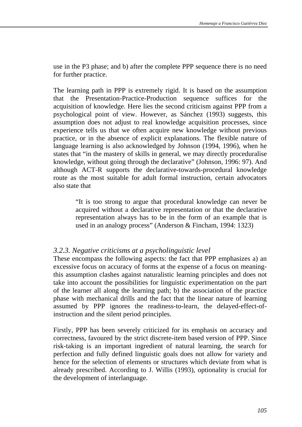use in the P3 phase; and b) after the complete PPP sequence there is no need for further practice.

The learning path in PPP is extremely rigid. It is based on the assumption that the Presentation-Practice-Production sequence suffices for the acquisition of knowledge. Here lies the second criticism against PPP from a psychological point of view. However, as Sánchez (1993) suggests, this assumption does not adjust to real knowledge acquisition processes, since experience tells us that we often acquire new knowledge without previous practice, or in the absence of explicit explanations. The flexible nature of language learning is also acknowledged by Johnson (1994, 1996), when he states that "in the mastery of skills in general, we may directly proceduralise knowledge, without going through the declarative" (Johnson, 1996: 97). And although ACT-R supports the declarative-towards-procedural knowledge route as the most suitable for adult formal instruction, certain advocators also state that

> "It is too strong to argue that procedural knowledge can never be acquired without a declarative representation or that the declarative representation always has to be in the form of an example that is used in an analogy process" (Anderson & Fincham, 1994: 1323)

### *3.2.3. Negative criticisms at a psycholinguistic level*

These encompass the following aspects: the fact that PPP emphasizes a) an excessive focus on accuracy of forms at the expense of a focus on meaningthis assumption clashes against naturalistic learning principles and does not take into account the possibilities for linguistic experimentation on the part of the learner all along the learning path; b) the association of the practice phase with mechanical drills and the fact that the linear nature of learning assumed by PPP ignores the readiness-to-learn, the delayed-effect-ofinstruction and the silent period principles.

Firstly, PPP has been severely criticized for its emphasis on accuracy and correctness, favoured by the strict discrete-item based version of PPP. Since risk-taking is an important ingredient of natural learning, the search for perfection and fully defined linguistic goals does not allow for variety and hence for the selection of elements or structures which deviate from what is already prescribed. According to J. Willis (1993), optionality is crucial for the development of interlanguage.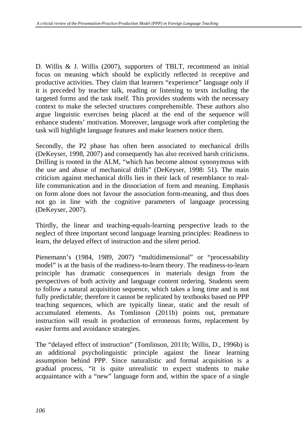D. Willis & J. Willis (2007), supporters of TBLT, recommend an initial focus on meaning which should be explicitly reflected in receptive and productive activities. They claim that learners "experience" language only if it is preceded by teacher talk, reading or listening to texts including the targeted forms and the task itself. This provides students with the necessary context to make the selected structures comprehensible. These authors also argue linguistic exercises being placed at the end of the sequence will enhance students' motivation. Moreover, language work after completing the task will highlight language features and make learners notice them.

Secondly, the P2 phase has often been associated to mechanical drills (DeKeyser, 1998, 2007) and consequently has also received harsh criticisms. Drilling is rooted in the ALM, "which has become almost synonymous with the use and abuse of mechanical drills" (DeKeyser, 1998: 51). The main criticism against mechanical drills lies in their lack of resemblance to reallife communication and in the dissociation of form and meaning. Emphasis on form alone does not favour the association form-meaning, and thus does not go in line with the cognitive parameters of language processing (DeKeyser, 2007).

Thirdly, the linear and teaching-equals-learning perspective leads to the neglect of three important second language learning principles: Readiness to learn, the delayed effect of instruction and the silent period.

Pienemann's (1984, 1989, 2007) "multidimensional" or "processability model" is at the basis of the readiness-to-learn theory. The readiness-to-learn principle has dramatic consequences in materials design from the perspectives of both activity and language content ordering. Students seem to follow a natural acquisition sequence, which takes a long time and is not fully predictable; therefore it cannot be replicated by textbooks based on PPP teaching sequences, which are typically linear, static and the result of accumulated elements. As Tomlinson (2011b) points out, premature instruction will result in production of erroneous forms, replacement by easier forms and avoidance strategies.

The "delayed effect of instruction" (Tomlinson, 2011b; Willis, D., 1996b) is an additional psycholinguistic principle against the linear learning assumption behind PPP. Since naturalistic and formal acquisition is a gradual process, "it is quite unrealistic to expect students to make acquaintance with a "new" language form and, within the space of a single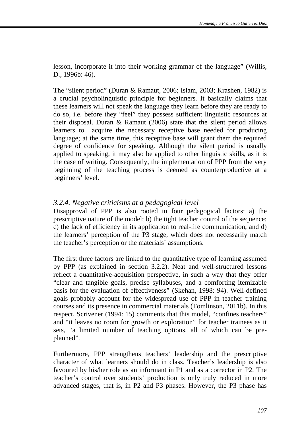lesson, incorporate it into their working grammar of the language" (Willis, D., 1996b: 46).

The "silent period" (Duran & Ramaut, 2006; Islam, 2003; Krashen, 1982) is a crucial psycholinguistic principle for beginners. It basically claims that these learners will not speak the language they learn before they are ready to do so, i.e. before they "feel" they possess sufficient linguistic resources at their disposal. Duran & Ramaut (2006) state that the silent period allows learners to acquire the necessary receptive base needed for producing language; at the same time, this receptive base will grant them the required degree of confidence for speaking*.* Although the silent period is usually applied to speaking, it may also be applied to other linguistic skills, as it is the case of writing. Consequently, the implementation of PPP from the very beginning of the teaching process is deemed as counterproductive at a beginners' level.

### *3.2.4. Negative criticisms at a pedagogical level*

Disapproval of PPP is also rooted in four pedagogical factors: a) the prescriptive nature of the model; b) the tight teacher control of the sequence; c) the lack of efficiency in its application to real-life communication, and d) the learners' perception of the P3 stage, which does not necessarily match the teacher's perception or the materials' assumptions.

The first three factors are linked to the quantitative type of learning assumed by PPP (as explained in section 3.2.2). Neat and well-structured lessons reflect a quantitative-acquisition perspective, in such a way that they offer "clear and tangible goals, precise syllabuses, and a comforting itemizable basis for the evaluation of effectiveness" (Skehan, 1998: 94). Well-defined goals probably account for the widespread use of PPP in teacher training courses and its presence in commercial materials (Tomlinson, 2011b). In this respect, Scrivener (1994: 15) comments that this model, "confines teachers" and "it leaves no room for growth or exploration" for teacher trainees as it sets, "a limited number of teaching options, all of which can be preplanned".

Furthermore, PPP strengthens teachers' leadership and the prescriptive character of what learners should do in class. Teacher's leadership is also favoured by his/her role as an informant in P1 and as a corrector in P2. The teacher's control over students' production is only truly reduced in more advanced stages, that is, in P2 and P3 phases. However, the P3 phase has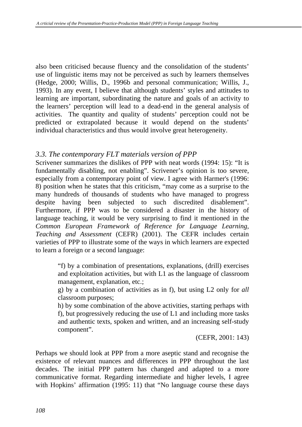also been criticised because fluency and the consolidation of the students' use of linguistic items may not be perceived as such by learners themselves (Hedge, 2000; Willis, D., 1996b and personal communication; Willis, J., 1993). In any event, I believe that although students' styles and attitudes to learning are important, subordinating the nature and goals of an activity to the learners' perception will lead to a dead-end in the general analysis of activities. The quantity and quality of students' perception could not be predicted or extrapolated because it would depend on the students' individual characteristics and thus would involve great heterogeneity.

### *3.3. The contemporary FLT materials version of PPP*

Scrivener summarizes the dislikes of PPP with neat words (1994: 15): "It is fundamentally disabling, not enabling". Scrivener's opinion is too severe, especially from a contemporary point of view. I agree with Harmer's (1996: 8) position when he states that this criticism, "may come as a surprise to the many hundreds of thousands of students who have managed to progress despite having been subjected to such discredited disablement". Furthermore, if PPP was to be considered a disaster in the history of language teaching, it would be very surprising to find it mentioned in the *Common European Framework of Reference for Language Learning, Teaching and Assessment* (CEFR) (2001). The CEFR includes certain varieties of PPP to illustrate some of the ways in which learners are expected to learn a foreign or a second language:

> "f) by a combination of presentations, explanations, (drill) exercises and exploitation activities, but with L1 as the language of classroom management, explanation, etc.;

> g) by a combination of activities as in f), but using L2 only for *all*  classroom purposes;

> h) by some combination of the above activities, starting perhaps with f), but progressively reducing the use of L1 and including more tasks and authentic texts, spoken and written, and an increasing self-study component".

> > (CEFR, 2001: 143)

Perhaps we should look at PPP from a more aseptic stand and recognise the existence of relevant nuances and differences in PPP throughout the last decades. The initial PPP pattern has changed and adapted to a more communicative format. Regarding intermediate and higher levels, I agree with Hopkins' affirmation (1995: 11) that "No language course these days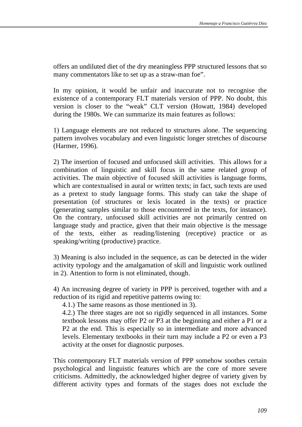offers an undiluted diet of the dry meaningless PPP structured lessons that so many commentators like to set up as a straw-man foe".

In my opinion, it would be unfair and inaccurate not to recognise the existence of a contemporary FLT materials version of PPP. No doubt, this version is closer to the "weak" CLT version (Howatt, 1984) developed during the 1980s. We can summarize its main features as follows:

1) Language elements are not reduced to structures alone. The sequencing pattern involves vocabulary and even linguistic longer stretches of discourse (Harmer, 1996).

2) The insertion of focused and unfocused skill activities. This allows for a combination of linguistic and skill focus in the same related group of activities. The main objective of focused skill activities is language forms, which are contextualised in aural or written texts; in fact, such texts are used as a pretext to study language forms. This study can take the shape of presentation (of structures or lexis located in the texts) or practice (generating samples similar to those encountered in the texts, for instance). On the contrary, unfocused skill activities are not primarily centred on language study and practice, given that their main objective is the message of the texts, either as reading/listening (receptive) practice or as speaking/writing (productive) practice.

3) Meaning is also included in the sequence, as can be detected in the wider activity typology and the amalgamation of skill and linguistic work outlined in 2). Attention to form is not eliminated, though.

4) An increasing degree of variety in PPP is perceived, together with and a reduction of its rigid and repetitive patterns owing to:

4.1.) The same reasons as those mentioned in 3).

4.2.) The three stages are not so rigidly sequenced in all instances. Some textbook lessons may offer P2 or P3 at the beginning and either a P1 or a P2 at the end. This is especially so in intermediate and more advanced levels. Elementary textbooks in their turn may include a P2 or even a P3 activity at the onset for diagnostic purposes.

This contemporary FLT materials version of PPP somehow soothes certain psychological and linguistic features which are the core of more severe criticisms. Admittedly, the acknowledged higher degree of variety given by different activity types and formats of the stages does not exclude the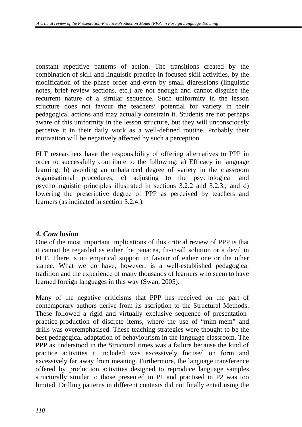constant repetitive patterns of action. The transitions created by the combination of skill and linguistic practice in focused skill activities, by the modification of the phase order and even by small digressions (linguistic notes, brief review sections, etc.) are not enough and cannot disguise the recurrent nature of a similar sequence. Such uniformity in the lesson structure does not favour the teachers' potential for variety in their pedagogical actions and may actually constrain it. Students are not perhaps aware of this uniformity in the lesson structure, but they will unconsciously perceive it in their daily work as a well-defined routine. Probably their motivation will be negatively affected by such a perception.

FLT researchers have the responsibility of offering alternatives to PPP in order to successfully contribute to the following: a) Efficacy in language learning; b) avoiding an unbalanced degree of variety in the classroom organisational procedures; c) adjusting to the psychological and psycholinguistic principles illustrated in sections 3.2.2 and 3.2.3.; and d) lowering the prescriptive degree of PPP as perceived by teachers and learners (as indicated in section 3.2.4.).

## *4. Conclusion*

One of the most important implications of this critical review of PPP is that it cannot be regarded as either the panacea, fit-in-all solution or a devil in FLT. There is no empirical support in favour of either one or the other stance. What we do have, however, is a well-established pedagogical tradition and the experience of many thousands of learners who seem to have learned foreign languages in this way (Swan, 2005).

Many of the negative criticisms that PPP has received on the part of contemporary authors derive from its ascription to the Structural Methods. These followed a rigid and virtually exclusive sequence of presentationpractice-production of discrete items, where the use of "mim-mem" and drills was overemphasised. These teaching strategies were thought to be the best pedagogical adaptation of behaviourism in the language classroom. The PPP as understood in the Structural times was a failure because the kind of practice activities it included was excessively focused on form and excessively far away from meaning. Furthermore, the language transference offered by production activities designed to reproduce language samples structurally similar to those presented in P1 and practised in P2 was too limited. Drilling patterns in different contexts did not finally entail using the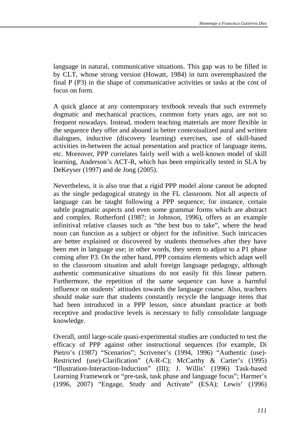language in natural, communicative situations. This gap was to be filled in by CLT, whose strong version (Howatt, 1984) in turn overemphasized the final P (P3) in the shape of communicative activities or tasks at the cost of focus on form.

A quick glance at any contemporary textbook reveals that such extremely dogmatic and mechanical practices, common forty years ago, are not so frequent nowadays. Instead, modern teaching materials are more flexible in the sequence they offer and abound in better contextualized aural and written dialogues, inductive (discovery learning) exercises, use of skill-based activities in-between the actual presentation and practice of language items, etc. Moreover, PPP correlates fairly well with a well-known model of skill learning, Anderson's ACT-R, which has been empirically tested in SLA by DeKeyser (1997) and de Jong (2005).

Nevertheless, it is also true that a rigid PPP model alone cannot be adopted as the single pedagogical strategy in the FL classroom. Not all aspects of language can be taught following a PPP sequence; for instance, certain subtle pragmatic aspects and even some grammar forms which are abstract and complex. Rutherford (1987; in Johnson, 1996), offers as an example infinitival relative clauses such as "the best bus to take", where the head noun can function as a subject or object for the infinitive. Such intricacies are better explained or discovered by students themselves after they have been met in language use; in other words, they seem to adjust to a P1 phase coming after P3. On the other hand, PPP contains elements which adapt well to the classroom situation and adult foreign language pedagogy, although authentic communicative situations do not easily fit this linear pattern. Furthermore, the repetition of the same sequence can have a harmful influence on students' attitudes towards the language course. Also, teachers should make sure that students constantly recycle the language items that had been introduced in a PPP lesson, since abundant practice at both receptive and productive levels is necessary to fully consolidate language knowledge.

Overall, until large-scale quasi-experimental studies are conducted to test the efficacy of PPP against other instructional sequences (for example, Di Pietro's (1987) "Scenarios"; Scrivener's (1994, 1996) "Authentic (use)- Restricted (use)-Clarification" (A-R-C); McCarthy & Carter's (1995) "Illustration-Interaction-Induction" (III); J. Willis' (1996) Task-based Learning Framework or "pre-task, task phase and language focus"; Harmer's (1996, 2007) "Engage, Study and Activate" (ESA); Lewis' (1996)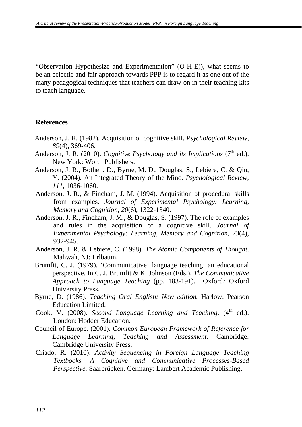"Observation Hypothesize and Experimentation" (O-H-E)), what seems to be an eclectic and fair approach towards PPP is to regard it as one out of the many pedagogical techniques that teachers can draw on in their teaching kits to teach language.

#### **References**

- Anderson, J. R. (1982). Acquisition of cognitive skill. *Psychological Review, 89*(4), 369-406.
- Anderson, J. R. (2010). *Cognitive Psychology and its Implications* (7<sup>th</sup> ed.). New York: Worth Publishers.
- Anderson, J. R., Bothell, D., Byrne, M. D., Douglas, S., Lebiere, C. & Qin, Y. (2004). An Integrated Theory of the Mind. *Psychological Review, 111,* 1036-1060.
- Anderson, J. R., & Fincham, J. M. (1994). Acquisition of procedural skills from examples. *Journal of Experimental Psychology: Learning, Memory and Cognition, 20*(6), 1322-1340.
- Anderson, J. R., Fincham, J. M., & Douglas, S. (1997). The role of examples and rules in the acquisition of a cognitive skill. *Journal of Experimental Psychology: Learning, Memory and Cognition, 23*(4), 932-945.
- Anderson, J. R. & Lebiere, C. (1998). *The Atomic Components of Thought*. Mahwah, NJ: Erlbaum.
- Brumfit, C. J. (1979). 'Communicative' language teaching: an educational perspective. In C. J. Brumfit & K. Johnson (Eds.), *The Communicative Approach to Language Teaching* (pp. 183-191).Oxford*:* Oxford University Press.
- Byrne, D. (1986). *Teaching Oral English: New edition.* Harlow: Pearson Education Limited.
- Cook, V. (2008). *Second Language Learning and Teaching.* (4<sup>th</sup> ed.). London: Hodder Education.
- Council of Europe. (2001). *Common European Framework of Reference for Language Learning, Teaching and Assessment.* Cambridge: Cambridge University Press.
- Criado, R. (2010). *Activity Sequencing in Foreign Language Teaching Textbooks. A Cognitive and Communicative Processes-Based Perspective.* Saarbrücken, Germany: Lambert Academic Publishing.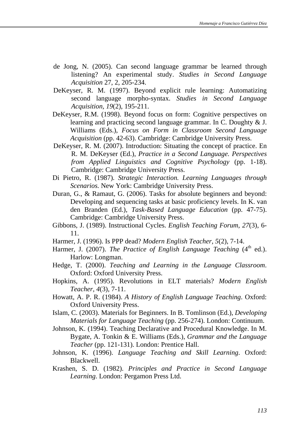- de Jong, N. (2005). Can second language grammar be learned through listening? An experimental study. *Studies in Second Language Acquisition* 27, 2, 205-234.
- DeKeyser, R. M. (1997). Beyond explicit rule learning: Automatizing second language morpho-syntax. *Studies in Second Language Acquisition, 19*(2), 195-211.
- DeKeyser, R.M. (1998). Beyond focus on form: Cognitive perspectives on learning and practicing second language grammar. In C. Doughty & J. Williams (Eds.), *Focus on Form in Classroom Second Language Acquisition* (pp. 42-63). Cambridge: Cambridge University Press.
- DeKeyser, R. M. (2007). Introduction: Situating the concept of practice. En R. M. DeKeyser (Ed.), *Practice in a Second Language. Perspectives from Applied Linguistics and Cognitive Psychology* (pp. 1-18). Cambridge: Cambridge University Press.
- Di Pietro, R. (1987). *Strategic Interaction. Learning Languages through Scenarios.* New York: Cambridge University Press.
- Duran, G., & Ramaut, G. (2006). Tasks for absolute beginners and beyond: Developing and sequencing tasks at basic proficiency levels. In K. van den Branden (Ed.), *Task-Based Language Education* (pp. 47-75). Cambridge: Cambridge University Press.
- Gibbons, J. (1989). Instructional Cycles. *English Teaching Forum*, *27*(3), 6- 11.
- Harmer, J. (1996). Is PPP dead? *Modern English Teacher, 5*(2), 7-14.
- Harmer, J. (2007). *The Practice of English Language Teaching* (4<sup>th</sup> ed.). Harlow: Longman.
- Hedge, T. (2000). *Teaching and Learning in the Language Classroom*. Oxford: Oxford University Press.
- Hopkins, A. (1995). Revolutions in ELT materials? *Modern English Teacher, 4*(3), 7-11.
- Howatt, A. P. R. (1984). *A History of English Language Teaching*. Oxford: Oxford University Press.
- Islam, C. (2003). Materials for Beginners. In B. Tomlinson (Ed.), *Developing Materials for Language Teaching* (pp. 256-274). London: Continuum.
- Johnson, K. (1994). Teaching Declarative and Procedural Knowledge. In M. Bygate, A. Tonkin & E. Williams (Eds.), *Grammar and the Language Teacher* (pp. 121-131). London: Prentice Hall.
- Johnson, K. (1996). *Language Teaching and Skill Learning*. Oxford: Blackwell.
- Krashen, S. D. (1982). *Principles and Practice in Second Language Learning*. London: Pergamon Press Ltd.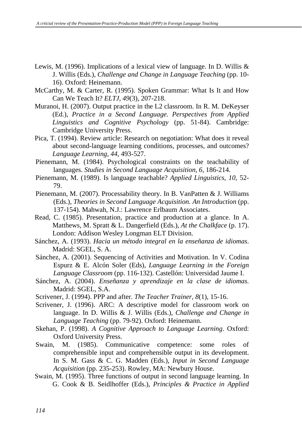- Lewis, M. (1996). Implications of a lexical view of language. In D. Willis & J. Willis (Eds.), *Challenge and Change in Language Teaching* (pp. 10- 16). Oxford: Heinemann.
- McCarthy, M. & Carter, R. (1995). Spoken Grammar: What Is It and How Can We Teach It? *ELTJ, 49*(3), 207-218.
- Muranoi, H. (2007). Output practice in the L2 classroom. In R. M. DeKeyser (Ed.), *Practice in a Second Language. Perspectives from Applied Linguistics and Cognitive Psychology* (pp. 51-84). Cambridge: Cambridge University Press.
- Pica, T. (1994). Review article: Research on negotiation: What does it reveal about second-language learning conditions, processes, and outcomes? *Language Learning, 44,* 493-527.
- Pienemann, M. (1984). Psychological constraints on the teachability of languages. *Studies in Second Language Acquisition, 6,* 186-214.
- Pienemann, M. (1989). Is language teachable? *Applied Linguistics*, *10,* 52- 79.
- Pienemann, M. (2007). Processability theory. In B. VanPatten & J. Williams (Eds.), *Theories in Second Language Acquisition. An Introduction* (pp. 137-154). Mahwah, N.J.: Lawrence Erlbaum Associates.
- Read, C. (1985). Presentation, practice and production at a glance. In A. Matthews, M. Spratt & L. Dangerfield (Eds.), *At the Chalkface* (p. 17). London: Addison Wesley Longman ELT Division.
- Sánchez, A. (1993). *Hacia un método integral en la enseñanza de idiomas*. Madrid: SGEL, S. A.
- Sánchez, A. (2001). Sequencing of Activities and Motivation. In V. Codina Espurz & E. Alcón Soler (Eds), *Language Learning in the Foreign Language Classroom* (pp. 116-132). Castellón: Universidad Jaume I.
- Sánchez, A. (2004). *Enseñanza y aprendizaje en la clase de idiomas.* Madrid: SGEL, S.A.
- Scrivener, J. (1994). PPP and after. *The Teacher Trainer, 8*(1), 15-16.
- Scrivener, J. (1996). ARC: A descriptive model for classroom work on language. In D. Willis & J. Willis (Eds.), *Challenge and Change in Language Teaching* (pp. 79-92). Oxford: Heinemann.
- Skehan, P. (1998). *A Cognitive Approach to Language Learning*. Oxford: Oxford University Press.
- Swain, M. (1985). Communicative competence: some roles of comprehensible input and comprehensible output in its development. In S. M. Gass & C. G. Madden (Eds.), *Input in Second Language Acquisition* (pp. 235-253). Rowley, MA: Newbury House.
- Swain, M. (1995). Three functions of output in second language learning. In G. Cook & B. Seidlhoffer (Eds.), *Principles & Practice in Applied*